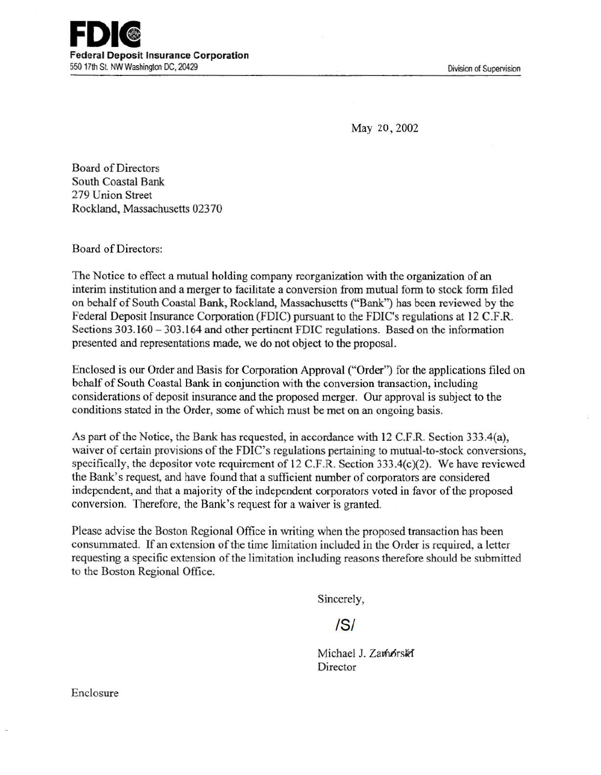Division of Supervision

May 20,2002

Board of Directors South Coastal Bank 279 Union Street Rockland, Massachusetts 023 70

Board of Directors:

The Notice to effect a mutual holding company reorganization with the organization of an interim institution and a merger to facilitate a conversion from mutual form to stock form filed on behalf of South Coastal Bank, Rockland, Massachusetts ("Bank") has been reviewed by the Federal Deposit Insurance Corporation (FDIC) pursuant to the FDIC's regulations at 12 C.F.R. Sections 303.160 - 303.164 and other pertinent FDIC regulations. Based on the information presented and representations made, we do not object to the proposal.

Enclosed is our Order and Basis for Corporation Approval ("Order") for the applications filed on behalf of South Coastal Bank in conjunction with the conversion transaction, including considerations of deposit insurance and the proposed merger. Our approval is subject to the conditions stated in the Order, some of which must be met on an ongoing basis.

As part of the Notice, the Bank has requested, in accordance with 12 C.F.R. Section 333.4(a), waiver of certain provisions of the FDIC's regulations pertaining to mutual-to-stock conversions, specifically, the depositor vote requirement of 12 C.F.R. Section 333.4(c)(2). We have reviewed the Bank's request, and have found that a sufficient number of corporators are considered independent, and that a majority of the independent corporators voted in favor of the proposed conversion. Therefore, the Bank's request for a waiver is granted.

Please advise the Boston Regional Office in writing when the proposed transaction has been consummated. If an extension of the time limitation included in the Order is required, a letter requesting a specific extension of the limitation including reasons therefore should be submitted to the Boston Regional Office.

Sincerely,

IS/

Michael J. Zamorski Director

Enclosure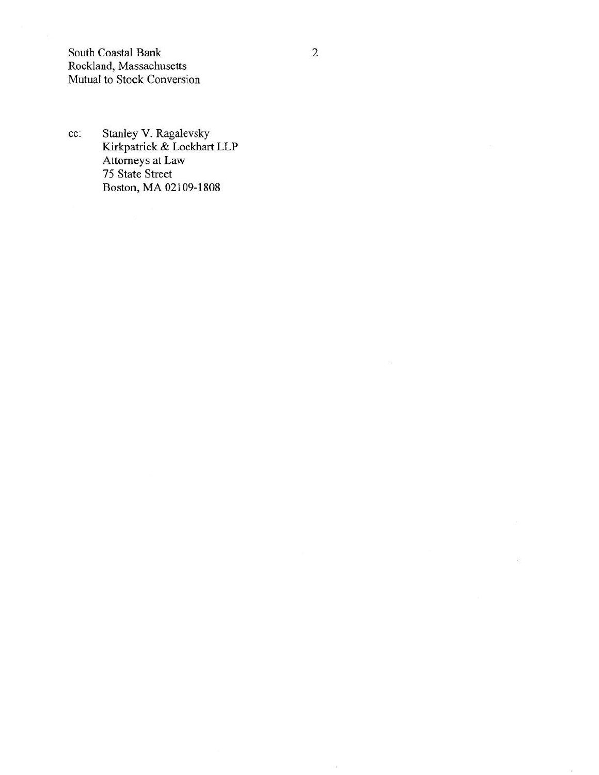South Coastal Bank Rockland, Massachusetts Mutual to Stock Conversion

cc: Stanley V. Ragalevsky Kirkpatrick & Lockhart LLP Attorneys at Law 75 State. Street Boston, MA 02109-1808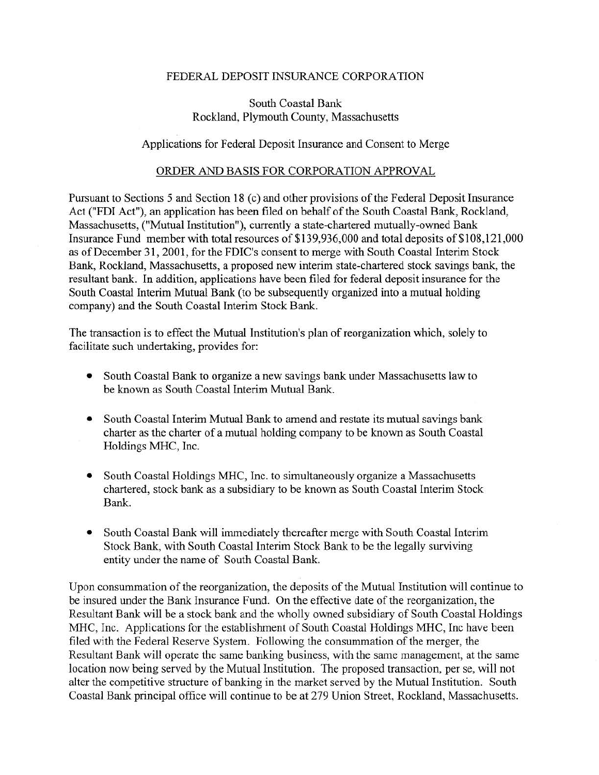## FEDERAL DEPOSIT INSURANCE CORPORATION

## South Coastal Bank Rockland, Plymouth County, Massachusetts

## Applications for Federal Deposit Insurance and Consent to Merge

## ORDER AND BASIS FOR CORPORATION APPROVAL

Pursuant to Sections 5 and Section 18 (c) and other provisions of the Federal Deposit Insurance Act ("FDI Act"), an application has been filed on behalf of the South Coastal Bank, Rockland, Massachusetts, ("Mutual Institution"), currently a state-chartered mutually-owned Bank Insurance Fund member with total resources of \$139,936,000 and total deposits of \$108,121,000 as of December 31, 2001, for the FDIC's consent to merge with South Coastal Interim Stock Bank, Rockland, Massachusetts, a proposed new interim state-chartered stock savings bank, the resultant bank. In addition, applications have been filed for federal deposit insurance for the South Coastal Interim Mutual Bank (to be subsequently organized into a mutual holding company) and the South Coastal Interim Stock Bank.

The transaction is to effect the Mutual Institution's plan of reorganization which, solely to facilitate such undertaking, provides for:

- South Coastal Bank to organize a new savings bank under Massachusetts law to be known as South Coastal Interim Mutual Bank.
- South Coastal Interim Mutual Bank to amend and restate its mutual savings bank charter as the charter of a mutual holding company to be known as South Coastal Holdings MHC, Inc.
- South Coastal Holdings MHC, Inc. to simultaneously organize a Massachusetts chartered, stock bank as a subsidiary to be known as South Coastal Interim Stock Bank.
- South Coastal Bank will immediately thereafter merge with South Coastal Interim Stock Bank, with South Coastal Interim Stock Bank to be the legally surviving entity under the name of South Coastal Bank.

Upon consummation of the reorganization, the deposits of the Mutual Institution will continue to be insured under the Bank Insurance Fund. On the effective date of the reorganization, the Resultant Bank will be a stock bank and the wholly owned subsidiary of South Coastal Holdings MHC, Inc. Applications for the establishment of South Coastal Holdings MHC, Inc have been filed with the Federal Reserve System. Following the consummation of the merger, the Resultant Bank will operate the same banking business, with the same management, at the same location now being served by the Mutual Institution. The proposed transaction, per se, will not alter the competitive structure of banking in the market served by the Mutual Institution. South Coastal Bank principal office will continue to be at 279 Union Street, Rockland, Massachusetts.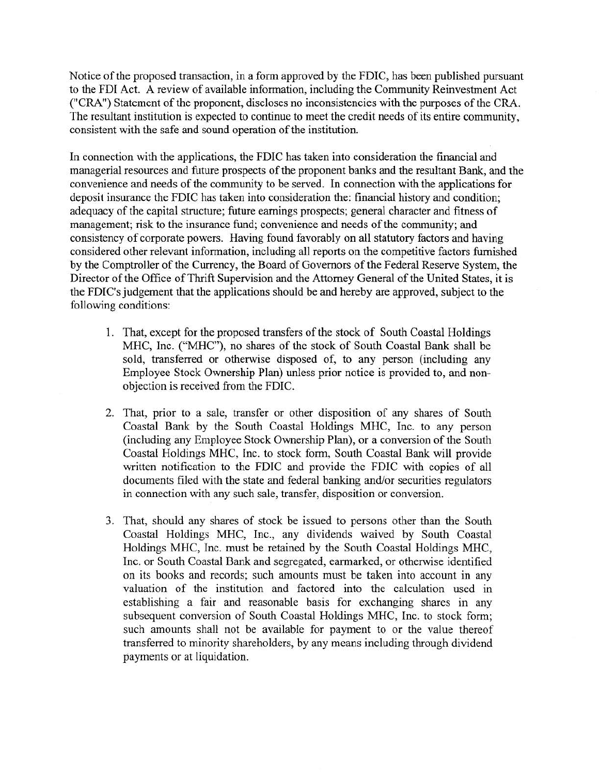Notice of the proposed transaction, in a form approved by the FDIC, has been published pursuant to the FDI Act. A review of available information, including the Community Reinvestment Act ("CRA") Statement of the proponent, discloses no inconsistencies with the purposes of the CRA. The resultant institution is expected to continue to meet the credit needs of its entire community, consistent with the safe and sound operation of the institution.

In connection with the applications, the FDIC has taken into consideration the financial and managerial resources and future prospects of the proponent banks and the resultant Bank, and the convenience and needs of the community to be served. In connection with the applications for deposit insurance the FDIC has taken into consideration the: financial history and condition; adequacy of the capital structure; future earnings prospects; general character and fitness of management; risk to the insurance fund; convenience and needs of the community; and consistency of corporate powers. Having found favorably on all statutory factors and having considered other relevant information, including all reports on the competitive factors furnished by the Comptroller of the Currency, the Board of Governors of the Federal Reserve System, the Director of the Office of Thrift Supervision and the Attorney General of the United States, it is the FDIC's judgement that the applications should be and hereby are approved, subject to the following conditions:

- 1. That, except for the proposed transfers of the stock of South Coastal Holdings MHC, Inc. ("MHC"), no shares of the stock of South Coastal Bank shall be sold, transferred or otherwise disposed of, to any person (including any Employee Stock Ownership Plan) unless prior notice is provided to, and nonobjection is received from the FDIC.
- 2. That, prior to a sale, transfer or other disposition of any shares of South Coastal Bank by the South Coastal Holdings MHC, Inc. to any person (including any Employee Stock Ownership Plan), or a conversion of the South Coastal Holdings MHC, Inc. to stock form, South Coastal Bank will provide written notification to the FDIC and provide the FDIC with copies of all documents filed with the state and federal banking and/or securities regulators in connection with any such sale, transfer, disposition or conversion.
- 3. That, should any shares of stock be issued to persons other than the South Coastal Holdings MHC, Inc., any dividends waived by South Coastal Holdings MHC, Inc. must be retained by the South Coastal Holdings MHC, Inc. or South Coastal Bank and segregated, earmarked, or otherwise identified on its books and records; such amounts must be taken into account in any valuation of the institution and factored into the calculation used in establishing a fair and reasonable basis for exchanging shares in any subsequent conversion of South Coastal Holdings MHC, Inc. to stock form; such amounts shall not be available for payment to or the value thereof transferred to minority shareholders, by any means including through dividend payments or at liquidation.